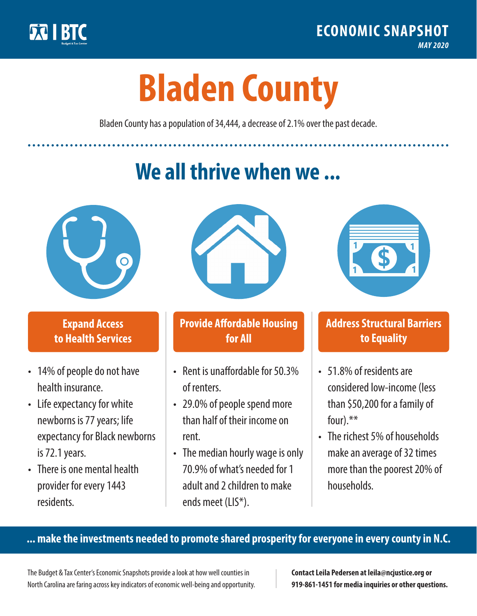

**1**

# **Bladen County**

Bladen County has a population of 34,444, a decrease of 2.1% over the past decade.

# **We all thrive when we ...**



**\$ <sup>1</sup>**

**\$ <sup>1</sup>**

## **Expand Access to Health Services**

- 14% of people do not have health insurance.
- Life expectancy for white newborns is 77 years; life expectancy for Black newborns is 72.1years.
- There is one mental health provider for every 1443 residents.



## **Provide Affordable Housing for All**

- Rent is unaffordable for 50.3% of renters.
- 29.0% of people spend more than half of their income on rent.
- The median hourly wage is only 70.9% of what's needed for 1 adult and 2 children to make ends meet (LIS\*).



## **Address Structural Barriers to Equality**

- 51.8% of residents are considered low-income (less than \$50,200 for a family of four).\*\*
- The richest 5% of households make an average of 32 times more than the poorest 20% of households.

#### **... make the investments needed to promote shared prosperity for everyone in every county in N.C.**

The Budget & Tax Center's Economic Snapshots provide a look at how well counties in North Carolina are faring across key indicators of economic well-being and opportunity.